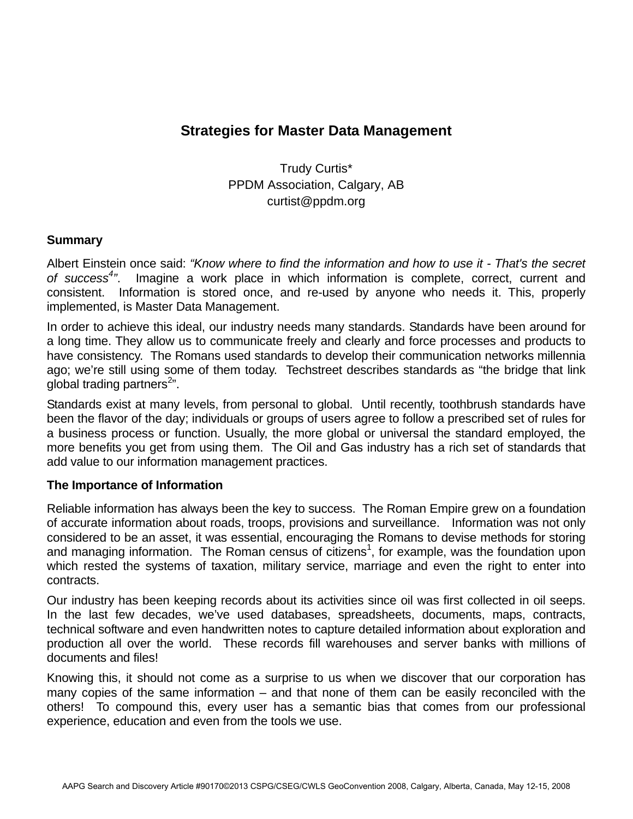# **Strategies for Master Data Management**

Trudy Curtis\* PPDM Association, Calgary, AB curtist@ppdm.org

### **Summary**

Albert Einstein once said: *"Know where to find the information and how to use it - That's the secret*  of success<sup>4</sup>". Imagine a work place in which information is complete, correct, current and consistent. Information is stored once, and re-used by anyone who needs it. This, properly implemented, is Master Data Management.

In order to achieve this ideal, our industry needs many standards. Standards have been around for a long time. They allow us to communicate freely and clearly and force processes and products to have consistency. The Romans used standards to develop their communication networks millennia ago; we're still using some of them today. Techstreet describes standards as "the bridge that link global trading partners<sup>2</sup>".

Standards exist at many levels, from personal to global. Until recently, toothbrush standards have been the flavor of the day; individuals or groups of users agree to follow a prescribed set of rules for a business process or function. Usually, the more global or universal the standard employed, the more benefits you get from using them. The Oil and Gas industry has a rich set of standards that add value to our information management practices.

## **The Importance of Information**

Reliable information has always been the key to success. The Roman Empire grew on a foundation of accurate information about roads, troops, provisions and surveillance. Information was not only considered to be an asset, it was essential, encouraging the Romans to devise methods for storing and managing information. The Roman census of citizens<sup>1</sup>, for example, was the foundation upon which rested the systems of taxation, military service, marriage and even the right to enter into contracts.

Our industry has been keeping records about its activities since oil was first collected in oil seeps. In the last few decades, we've used databases, spreadsheets, documents, maps, contracts, technical software and even handwritten notes to capture detailed information about exploration and production all over the world. These records fill warehouses and server banks with millions of documents and files!

Knowing this, it should not come as a surprise to us when we discover that our corporation has many copies of the same information – and that none of them can be easily reconciled with the others! To compound this, every user has a semantic bias that comes from our professional experience, education and even from the tools we use.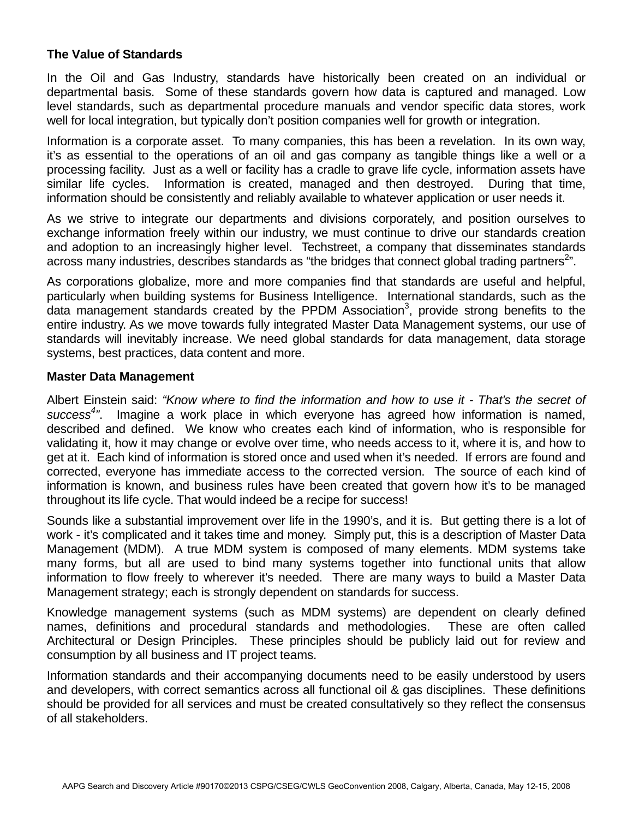## **The Value of Standards**

In the Oil and Gas Industry, standards have historically been created on an individual or departmental basis. Some of these standards govern how data is captured and managed. Low level standards, such as departmental procedure manuals and vendor specific data stores, work well for local integration, but typically don't position companies well for growth or integration.

Information is a corporate asset. To many companies, this has been a revelation. In its own way, it's as essential to the operations of an oil and gas company as tangible things like a well or a processing facility. Just as a well or facility has a cradle to grave life cycle, information assets have similar life cycles. Information is created, managed and then destroyed. During that time, information should be consistently and reliably available to whatever application or user needs it.

As we strive to integrate our departments and divisions corporately, and position ourselves to exchange information freely within our industry, we must continue to drive our standards creation and adoption to an increasingly higher level. Techstreet, a company that disseminates standards across many industries, describes standards as "the bridges that connect global trading partners<sup>2</sup>".

As corporations globalize, more and more companies find that standards are useful and helpful, particularly when building systems for Business Intelligence. International standards, such as the data management standards created by the PPDM Association<sup>3</sup>, provide strong benefits to the entire industry. As we move towards fully integrated Master Data Management systems, our use of standards will inevitably increase. We need global standards for data management, data storage systems, best practices, data content and more.

#### **Master Data Management**

Albert Einstein said: *"Know where to find the information and how to use it - That's the secret of success4 "*. Imagine a work place in which everyone has agreed how information is named, described and defined. We know who creates each kind of information, who is responsible for validating it, how it may change or evolve over time, who needs access to it, where it is, and how to get at it. Each kind of information is stored once and used when it's needed. If errors are found and corrected, everyone has immediate access to the corrected version. The source of each kind of information is known, and business rules have been created that govern how it's to be managed throughout its life cycle. That would indeed be a recipe for success!

Sounds like a substantial improvement over life in the 1990's, and it is. But getting there is a lot of work - it's complicated and it takes time and money. Simply put, this is a description of Master Data Management (MDM). A true MDM system is composed of many elements. MDM systems take many forms, but all are used to bind many systems together into functional units that allow information to flow freely to wherever it's needed. There are many ways to build a Master Data Management strategy; each is strongly dependent on standards for success.

Knowledge management systems (such as MDM systems) are dependent on clearly defined names, definitions and procedural standards and methodologies. These are often called Architectural or Design Principles. These principles should be publicly laid out for review and consumption by all business and IT project teams.

Information standards and their accompanying documents need to be easily understood by users and developers, with correct semantics across all functional oil & gas disciplines. These definitions should be provided for all services and must be created consultatively so they reflect the consensus of all stakeholders.